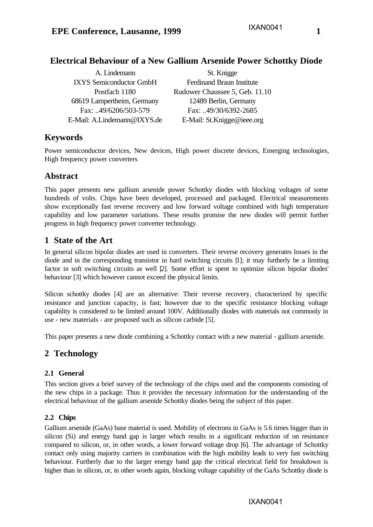# **Electrical Behaviour of a New Gallium Arsenide Power Schottky Diode**

| A. Lindemann                   | St. Knigge                       |
|--------------------------------|----------------------------------|
| <b>IXYS Semiconductor GmbH</b> | <b>Ferdinand Braun Institute</b> |
| Postfach 1180                  | Rudower Chaussee 5, Geb. 11.10   |
| 68619 Lampertheim, Germany     | 12489 Berlin, Germany            |
| Fax: 49/6206/503-579           | Fax: 49/30/6392-2685             |
| E-Mail: A.Lindemann@IXYS.de    | E-Mail: St.Knigge@ieee.org       |

# **Keywords**

Power semiconductor devices, New devices, High power discrete devices, Emerging technologies, High frequency power converters

# **Abstract**

This paper presents new gallium arsenide power Schottky diodes with blocking voltages of some hundreds of volts. Chips have been developed, processed and packaged. Electrical measurements show exceptionally fast reverse recovery and low forward voltage combined with high temperature capability and low parameter variations. These results promise the new diodes will permit further progress in high frequency power converter technology.

# **1 State of the Art**

In general silicon bipolar diodes are used in converters. Their reverse recovery generates losses in the diode and in the corresponding transistor in hard switching circuits [1]; it may furtherly be a limiting factor in soft switching circuits as well [2]. Some effort is spent to optimize silicon bipolar diodes' behaviour [3] which however cannot exceed the physical limits.

Silicon schottky diodes [4] are an alternative: Their reverse recovery, characterized by specific resistance and junction capacity, is fast; however due to the specific resistance blocking voltage capability is considered to be limited around 100V. Additionally diodes with materials not commonly in use - new materials - are proposed such as silicon carbide [5].

This paper presents a new diode combining a Schottky contact with a new material - gallium arsenide.

# **2 Technology**

## **2.1 General**

This section gives a brief survey of the technology of the chips used and the components consisting of the new chips in a package. Thus it provides the necessary information for the understanding of the electrical behaviour of the gallium arsenide Schottky diodes being the subject of this paper.

### **2.2 Chips**

Gallium arsenide (GaAs) base material is used. Mobility of electrons in GaAs is 5.6 times bigger than in silicon (Si) and energy band gap is larger which results in a significant reduction of on resistance compared to silicon, or, in other words, a lower forward voltage drop [6]. The advantage of Schottky contact only using majority carriers in combination with the high mobility leads to very fast switching behaviour. Furtherly due to the larger energy band gap the critical electrical field for breakdown is higher than in silicon, or, in other words again, blocking voltage capability of the GaAs Schottky diode is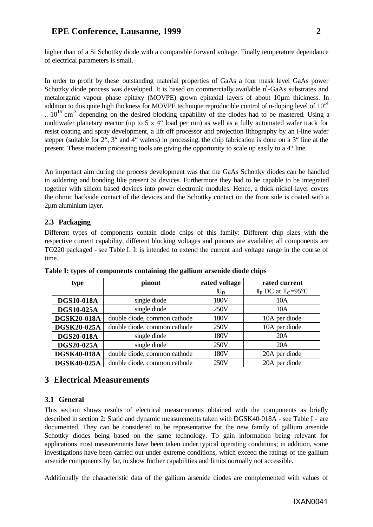## **EPE Conference, Lausanne, 1999 2**

In order to profit by these outstanding material properties of GaAs a four mask level GaAs power Schottky diode process was developed. It is based on commercially available n<sup>+</sup>-GaAs substrates and metalorganic vapour phase epitaxy (MOVPE) grown epitaxial layers of about 10µm thickness. In addition to this quite high thickness for MOVPE technique reproducible control of n-doping level of  $10^{14}$  $10^{16}$  cm<sup>-3</sup> depending on the desired blocking capability of the diodes had to be mastered. Using a multiwafer planetary reactor (up to 5 x 4" load per run) as well as a fully automated wafer track for resist coating and spray development, a lift off processor and projection lithography by an i-line wafer stepper (suitable for 2", 3" and 4" wafers) in processing, the chip fabrication is done on a 3" line at the present. These modern processing tools are giving the opportunity to scale up easily to a 4" line.

An important aim during the process development was that the GaAs Schottky diodes can be handled in soldering and bonding like present Si devices. Furthermore they had to be capable to be integrated together with silicon based devices into power electronic modules. Hence, a thick nickel layer covers the ohmic backside contact of the devices and the Schottky contact on the front side is coated with a 2µm aluminium layer.

### **2.3 Packaging**

Different types of components contain diode chips of this family: Different chip sizes with the respective current capability, different blocking voltages and pinouts are available; all components are TO220 packaged - see Table I. It is intended to extend the current and voltage range in the course of time.

| type               | pinout                       | rated voltage | rated current                                 |
|--------------------|------------------------------|---------------|-----------------------------------------------|
|                    |                              | $U_R$         | $I_F$ DC at T <sub>C</sub> =95 <sup>o</sup> C |
| <b>DGS10-018A</b>  | single diode                 | 180V          | 10A                                           |
| <b>DGS10-025A</b>  | single diode                 | 250V          | 10A                                           |
| <b>DGSK20-018A</b> | double diode, common cathode | 180V          | 10A per diode                                 |
| <b>DGSK20-025A</b> | double diode, common cathode | 250V          | 10A per diode                                 |
| <b>DGS20-018A</b>  | single diode                 | 180V          | 20A                                           |
| DGS20-025A         | single diode                 | 250V          | 20A                                           |
| <b>DGSK40-018A</b> | double diode, common cathode | 180V          | 20A per diode                                 |
| <b>DGSK40-025A</b> | double diode, common cathode | 250V          | 20A per diode                                 |

**Table I: types of components containing the gallium arsenide diode chips**

## **3 Electrical Measurements**

### **3.1 General**

This section shows results of electrical measurements obtained with the components as briefly described in section 2: Static and dynamic measurements taken with DGSK40-018A - see Table I - are documented. They can be considered to be representative for the new family of gallium arsenide Schottky diodes being based on the same technology. To gain information being relevant for applications most measurements have been taken under typical operating conditions; in addition, some investigations have been carried out under extreme conditions, which exceed the ratings of the gallium arsenide components by far, to show further capabilities and limits normally not accessible.

Additionally the characteristic data of the gallium arsenide diodes are complemented with values of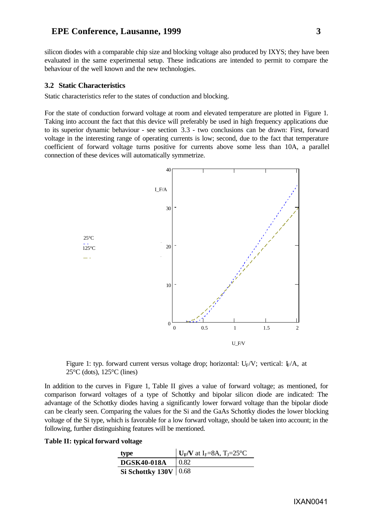### **EPE Conference, Lausanne, 1999 3**

silicon diodes with a comparable chip size and blocking voltage also produced by IXYS; they have been evaluated in the same experimental setup. These indications are intended to permit to compare the behaviour of the well known and the new technologies.

#### **3.2 Static Characteristics**

Static characteristics refer to the states of conduction and blocking.

For the state of conduction forward voltage at room and elevated temperature are plotted in Figure 1. Taking into account the fact that this device will preferably be used in high frequency applications due to its superior dynamic behaviour - see section 3.3 - two conclusions can be drawn: First, forward voltage in the interesting range of operating currents is low; second, due to the fact that temperature coefficient of forward voltage turns positive for currents above some less than 10A, a parallel connection of these devices will automatically symmetrize.



Figure 1: typ. forward current versus voltage drop; horizontal:  $U_F/V$ ; vertical:  $I_F/A$ , at 25°C (dots), 125°C (lines)

In addition to the curves in Figure 1, Table II gives a value of forward voltage; as mentioned, for comparison forward voltages of a type of Schottky and bipolar silicon diode are indicated: The advantage of the Schottky diodes having a significantly lower forward voltage than the bipolar diode can be clearly seen. Comparing the values for the Si and the GaAs Schottky diodes the lower blocking voltage of the Si type, which is favorable for a low forward voltage, should be taken into account; in the following, further distinguishing features will be mentioned.

#### **Table II: typical forward voltage**

| type                    | $\mathbf{U}_F/\mathbf{V}$ at I <sub>F</sub> =8A, T <sub>J</sub> =25°C |
|-------------------------|-----------------------------------------------------------------------|
| <b>DGSK40-018A</b>      | 0.82                                                                  |
| Si Schottky $130V$ 0.68 |                                                                       |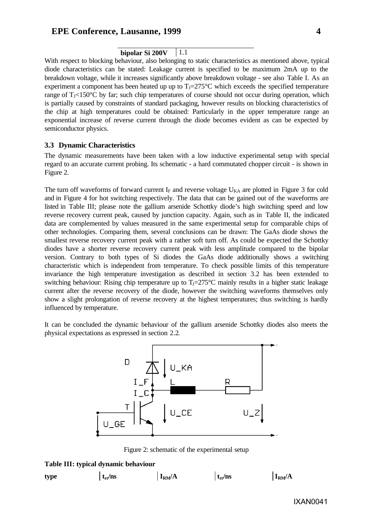#### **bipolar Si 200V** 1.1

With respect to blocking behaviour, also belonging to static characteristics as mentioned above, typical diode characteristics can be stated: Leakage current is specified to be maximum 2mA up to the breakdown voltage, while it increases significantly above breakdown voltage - see also Table I. As an experiment a component has been heated up up to  $T_1=275^{\circ}$ C which exceeds the specified temperature range of  $T<sub>1</sub>< 150^{\circ}$ C by far; such chip temperatures of course should not occur during operation, which is partially caused by constraints of standard packaging, however results on blocking characteristics of the chip at high temperatures could be obtained: Particularly in the upper temperature range an exponential increase of reverse current through the diode becomes evident as can be expected by semiconductor physics.

#### **3.3 Dynamic Characteristics**

The dynamic measurements have been taken with a low inductive experimental setup with special regard to an accurate current probing. Its schematic - a hard commutated chopper circuit - is shown in Figure 2.

The turn off waveforms of forward current  $I_F$  and reverse voltage  $U_{KA}$  are plotted in Figure 3 for cold and in Figure 4 for hot switching respectively. The data that can be gained out of the waveforms are listed in Table III; please note the gallium arsenide Schottky diode's high switching speed and low reverse recovery current peak, caused by junction capacity. Again, such as in Table II, the indicated data are complemented by values measured in the same experimental setup for comparable chips of other technologies. Comparing them, several conclusions can be drawn: The GaAs diode shows the smallest reverse recovery current peak with a rather soft turn off. As could be expected the Schottky diodes have a shorter reverse recovery current peak with less amplitude compared to the bipolar version. Contrary to both types of Si diodes the GaAs diode additionally shows a switching characteristic which is independent from temperature. To check possible limits of this temperature invariance the high temperature investigation as described in section 3.2 has been extended to switching behaviour: Rising chip temperature up to  $T_1=275^{\circ}\text{C}$  mainly results in a higher static leakage current after the reverse recovery of the diode, however the switching waveforms themselves only show a slight prolongation of reverse recovery at the highest temperatures; thus switching is hardly influenced by temperature.

It can be concluded the dynamic behaviour of the gallium arsenide Schottky diodes also meets the physical expectations as expressed in section 2.2.



Figure 2: schematic of the experimental setup

#### **Table III: typical dynamic behaviour**

| type | $t_{rr}/ns$ | $I_{RM}/A$ | $t_{rr}/ns$ | $I_{RM}/A$ |
|------|-------------|------------|-------------|------------|
|      |             |            |             |            |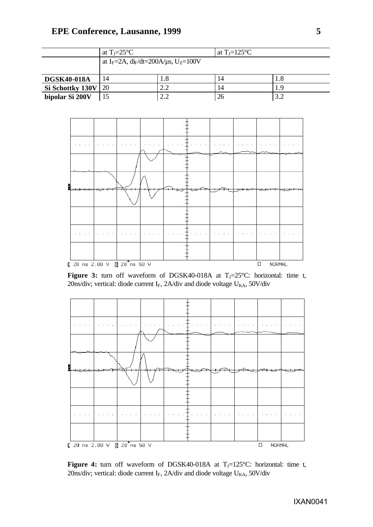|                                   | at $T_J = 25^{\circ}C$ |                                                                                |         |  | at T <sub>J</sub> =125 $^{\circ}$ C |  |  |                  |  |
|-----------------------------------|------------------------|--------------------------------------------------------------------------------|---------|--|-------------------------------------|--|--|------------------|--|
|                                   |                        | at I <sub>F</sub> =2A, di <sub>F</sub> /dt=200A/ $\mu$ s, U <sub>Z</sub> =100V |         |  |                                     |  |  |                  |  |
| <b>DGSK40-018A</b>                | 1.8<br>14              |                                                                                |         |  | 14<br>14                            |  |  | 1.8<br>1.9       |  |
| Si Schottky 130V                  | 2.2<br>20              |                                                                                |         |  |                                     |  |  |                  |  |
| bipolar Si 200V                   | 15                     |                                                                                | $2.2\,$ |  | $26\,$                              |  |  | $3.2\,$          |  |
|                                   |                        |                                                                                |         |  |                                     |  |  |                  |  |
|                                   |                        |                                                                                |         |  |                                     |  |  |                  |  |
|                                   |                        |                                                                                |         |  |                                     |  |  |                  |  |
|                                   |                        |                                                                                |         |  |                                     |  |  |                  |  |
|                                   |                        |                                                                                |         |  |                                     |  |  |                  |  |
|                                   |                        |                                                                                |         |  |                                     |  |  |                  |  |
|                                   |                        |                                                                                |         |  |                                     |  |  |                  |  |
|                                   |                        |                                                                                |         |  |                                     |  |  |                  |  |
|                                   |                        |                                                                                |         |  |                                     |  |  |                  |  |
|                                   |                        |                                                                                |         |  |                                     |  |  |                  |  |
|                                   |                        |                                                                                |         |  |                                     |  |  |                  |  |
|                                   |                        |                                                                                |         |  |                                     |  |  |                  |  |
|                                   |                        |                                                                                |         |  |                                     |  |  |                  |  |
|                                   |                        |                                                                                |         |  |                                     |  |  |                  |  |
|                                   |                        |                                                                                |         |  |                                     |  |  |                  |  |
| $C$ 20 ns 2.00 $V$ $B$ 20 ns 50 V |                        |                                                                                |         |  |                                     |  |  | $\Box$<br>NORMAL |  |

Figure 3: turn off waveform of DGSK40-018A at T<sub>J</sub>=25°C: horizontal: time t, 20ns/div; vertical: diode current I<sub>F</sub>, 2A/div and diode voltage  $U_{KA}$ , 50V/div



Figure 4: turn off waveform of DGSK40-018A at T<sub>J</sub>=125°C: horizontal: time t, 20ns/div; vertical: diode current I<sub>F</sub>, 2A/div and diode voltage  $U_{KA}$ , 50V/div